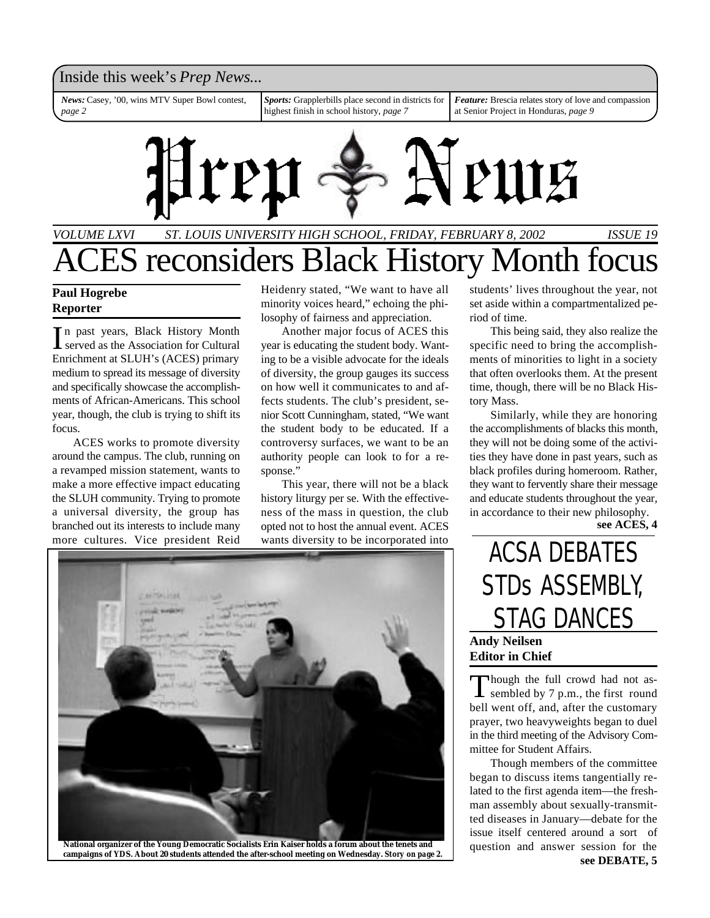### Inside this week's *Prep News*...

*News:* Casey, '00, wins MTV Super Bowl contest, *page 2*

*Sports:* Grapplerbills place second in districts for highest finish in school history, *page 7*

*Feature:* Brescia relates story of love and compassion at Senior Project in Honduras, *page 9*



# *VOLUME LXVI ST. LOUIS UNIVERSITY HIGH SCHOOL, FRIDAY, FEBRUARY 8, 2002 ISSUE 19* ES reconsiders Black History Month focus

### **Paul Hogrebe Reporter**

In past years, Black History Month<br>served as the Association for Cultural n past years, Black History Month Enrichment at SLUH's (ACES) primary medium to spread its message of diversity and specifically showcase the accomplishments of African-Americans. This school year, though, the club is trying to shift its focus.

ACES works to promote diversity around the campus. The club, running on a revamped mission statement, wants to make a more effective impact educating the SLUH community. Trying to promote a universal diversity, the group has branched out its interests to include many more cultures. Vice president Reid

Heidenry stated, "We want to have all minority voices heard," echoing the philosophy of fairness and appreciation.

Another major focus of ACES this year is educating the student body. Wanting to be a visible advocate for the ideals of diversity, the group gauges its success on how well it communicates to and affects students. The club's president, senior Scott Cunningham, stated, "We want the student body to be educated. If a controversy surfaces, we want to be an authority people can look to for a response."

This year, there will not be a black history liturgy per se. With the effectiveness of the mass in question, the club opted not to host the annual event. ACES wants diversity to be incorporated into



students' lives throughout the year, not set aside within a compartmentalized period of time.

This being said, they also realize the specific need to bring the accomplishments of minorities to light in a society that often overlooks them. At the present time, though, there will be no Black History Mass.

Similarly, while they are honoring the accomplishments of blacks this month, they will not be doing some of the activities they have done in past years, such as black profiles during homeroom. Rather, they want to fervently share their message and educate students throughout the year, in accordance to their new philosophy.

**see ACES, 4**

# ACSA DEBATES STDs ASSEMBLY, STAG DANCES **Andy Neilsen Editor in Chief**

Though the full crowd had not as-<br>sembled by 7 p.m., the first round Though the full crowd had not asbell went off, and, after the customary prayer, two heavyweights began to duel in the third meeting of the Advisory Committee for Student Affairs.

Though members of the committee began to discuss items tangentially related to the first agenda item—the freshman assembly about sexually-transmitted diseases in January—debate for the issue itself centered around a sort of question and answer session for the **see DEBATE, 5**

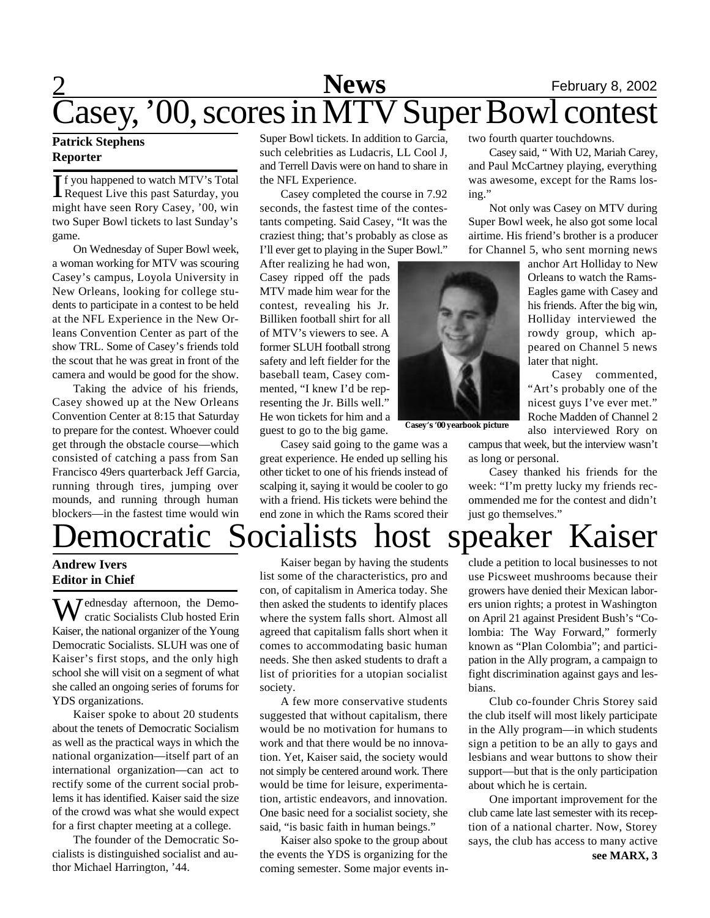# 2 **Sports News** February 8, 2002 Casey, '00, scores in MTV Super Bowl contest

### **Patrick Stephens Reporter**

If you happened to watch MTV's Total<br>Request Live this past Saturday, you f you happened to watch MTV's Total might have seen Rory Casey, '00, win two Super Bowl tickets to last Sunday's game.

On Wednesday of Super Bowl week, a woman working for MTV was scouring Casey's campus, Loyola University in New Orleans, looking for college students to participate in a contest to be held at the NFL Experience in the New Orleans Convention Center as part of the show TRL. Some of Casey's friends told the scout that he was great in front of the camera and would be good for the show.

Taking the advice of his friends, Casey showed up at the New Orleans Convention Center at 8:15 that Saturday to prepare for the contest. Whoever could get through the obstacle course—which consisted of catching a pass from San Francisco 49ers quarterback Jeff Garcia, running through tires, jumping over mounds, and running through human blockers—in the fastest time would win Super Bowl tickets. In addition to Garcia, such celebrities as Ludacris, LL Cool J, and Terrell Davis were on hand to share in the NFL Experience.

Casey completed the course in 7.92 seconds, the fastest time of the contestants competing. Said Casey, "It was the craziest thing; that's probably as close as I'll ever get to playing in the Super Bowl."

After realizing he had won, Casey ripped off the pads MTV made him wear for the contest, revealing his Jr. Billiken football shirt for all of MTV's viewers to see. A former SLUH football strong safety and left fielder for the baseball team, Casey commented, "I knew I'd be representing the Jr. Bills well." He won tickets for him and a guest to go to the big game.

Casey said going to the game was a great experience. He ended up selling his other ticket to one of his friends instead of scalping it, saying it would be cooler to go with a friend. His tickets were behind the end zone in which the Rams scored their two fourth quarter touchdowns.

Casey said, " With U2, Mariah Carey, and Paul McCartney playing, everything was awesome, except for the Rams losing."

Not only was Casey on MTV during Super Bowl week, he also got some local airtime. His friend's brother is a producer for Channel 5, who sent morning news

> anchor Art Holliday to New Orleans to watch the Rams-Eagles game with Casey and his friends. After the big win, Holliday interviewed the rowdy group, which appeared on Channel 5 news later that night.

> Casey commented, "Art's probably one of the nicest guys I've ever met." Roche Madden of Channel 2

also interviewed Rory on campus that week, but the interview wasn't

as long or personal. Casey thanked his friends for the

week: "I'm pretty lucky my friends recommended me for the contest and didn't just go themselves."

# Democratic Socialists host speaker Kaiser

**Andrew Ivers Editor in Chief**

Wednesday afternoon, the Democratic Socialists Club hosted Erin Kaiser, the national organizer of the Young Democratic Socialists. SLUH was one of Kaiser's first stops, and the only high school she will visit on a segment of what she called an ongoing series of forums for YDS organizations.

Kaiser spoke to about 20 students about the tenets of Democratic Socialism as well as the practical ways in which the national organization—itself part of an international organization—can act to rectify some of the current social problems it has identified. Kaiser said the size of the crowd was what she would expect for a first chapter meeting at a college.

The founder of the Democratic Socialists is distinguished socialist and author Michael Harrington, '44.

Kaiser began by having the students list some of the characteristics, pro and con, of capitalism in America today. She then asked the students to identify places where the system falls short. Almost all agreed that capitalism falls short when it comes to accommodating basic human needs. She then asked students to draft a list of priorities for a utopian socialist society.

A few more conservative students suggested that without capitalism, there would be no motivation for humans to work and that there would be no innovation. Yet, Kaiser said, the society would not simply be centered around work. There would be time for leisure, experimentation, artistic endeavors, and innovation. One basic need for a socialist society, she said, "is basic faith in human beings."

Kaiser also spoke to the group about the events the YDS is organizing for the coming semester. Some major events include a petition to local businesses to not use Picsweet mushrooms because their growers have denied their Mexican laborers union rights; a protest in Washington on April 21 against President Bush's "Colombia: The Way Forward," formerly known as "Plan Colombia"; and participation in the Ally program, a campaign to fight discrimination against gays and lesbians.

Club co-founder Chris Storey said the club itself will most likely participate in the Ally program—in which students sign a petition to be an ally to gays and lesbians and wear buttons to show their support—but that is the only participation about which he is certain.

One important improvement for the club came late last semester with its reception of a national charter. Now, Storey says, the club has access to many active **see MARX, 3**



**Casey's '00 yearbook picture**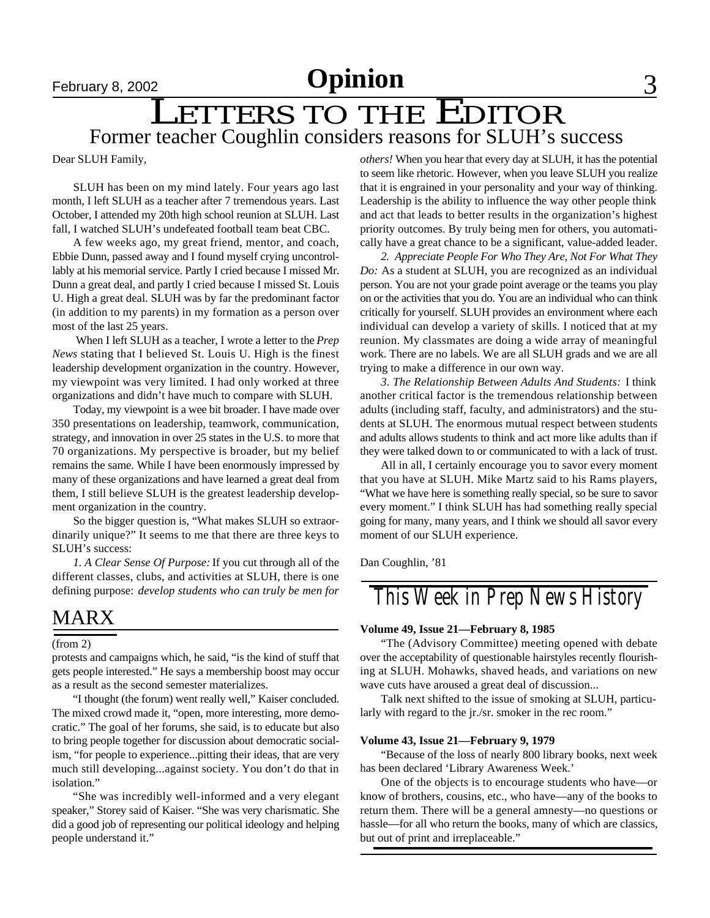## LETTERS TO THE EDITOR Former teacher Coughlin considers reasons for SLUH's success

Dear SLUH Family,

SLUH has been on my mind lately. Four years ago last month, I left SLUH as a teacher after 7 tremendous years. Last October, I attended my 20th high school reunion at SLUH. Last fall, I watched SLUH's undefeated football team beat CBC.

A few weeks ago, my great friend, mentor, and coach, Ebbie Dunn, passed away and I found myself crying uncontrollably at his memorial service. Partly I cried because I missed Mr. Dunn a great deal, and partly I cried because I missed St. Louis U. High a great deal. SLUH was by far the predominant factor (in addition to my parents) in my formation as a person over most of the last 25 years.

 When I left SLUH as a teacher, I wrote a letter to the *Prep News* stating that I believed St. Louis U. High is the finest leadership development organization in the country. However, my viewpoint was very limited. I had only worked at three organizations and didn't have much to compare with SLUH.

Today, my viewpoint is a wee bit broader. I have made over 350 presentations on leadership, teamwork, communication, strategy, and innovation in over 25 states in the U.S. to more that 70 organizations. My perspective is broader, but my belief remains the same. While I have been enormously impressed by many of these organizations and have learned a great deal from them, I still believe SLUH is the greatest leadership development organization in the country.

So the bigger question is, "What makes SLUH so extraordinarily unique?" It seems to me that there are three keys to SLUH's success:

*1. A Clear Sense Of Purpose:* If you cut through all of the different classes, clubs, and activities at SLUH, there is one defining purpose: *develop students who can truly be men for*

## MARX

### (from 2)

protests and campaigns which, he said, "is the kind of stuff that gets people interested." He says a membership boost may occur as a result as the second semester materializes.

"I thought (the forum) went really well," Kaiser concluded. The mixed crowd made it, "open, more interesting, more democratic." The goal of her forums, she said, is to educate but also to bring people together for discussion about democratic socialism, "for people to experience...pitting their ideas, that are very much still developing...against society. You don't do that in isolation."

"She was incredibly well-informed and a very elegant speaker," Storey said of Kaiser. "She was very charismatic. She did a good job of representing our political ideology and helping people understand it."

*others!* When you hear that every day at SLUH, it has the potential to seem like rhetoric. However, when you leave SLUH you realize that it is engrained in your personality and your way of thinking. Leadership is the ability to influence the way other people think and act that leads to better results in the organization's highest priority outcomes. By truly being men for others, you automatically have a great chance to be a significant, value-added leader.

*2. Appreciate People For Who They Are, Not For What They Do:* As a student at SLUH, you are recognized as an individual person. You are not your grade point average or the teams you play on or the activities that you do. You are an individual who can think critically for yourself. SLUH provides an environment where each individual can develop a variety of skills. I noticed that at my reunion. My classmates are doing a wide array of meaningful work. There are no labels. We are all SLUH grads and we are all trying to make a difference in our own way.

*3. The Relationship Between Adults And Students:* I think another critical factor is the tremendous relationship between adults (including staff, faculty, and administrators) and the students at SLUH. The enormous mutual respect between students and adults allows students to think and act more like adults than if they were talked down to or communicated to with a lack of trust.

All in all, I certainly encourage you to savor every moment that you have at SLUH. Mike Martz said to his Rams players, "What we have here is something really special, so be sure to savor every moment." I think SLUH has had something really special going for many, many years, and I think we should all savor every moment of our SLUH experience.

Dan Coughlin, '81

*This Week in Prep News History*

### **Volume 49, Issue 21—February 8, 1985**

"The (Advisory Committee) meeting opened with debate over the acceptability of questionable hairstyles recently flourishing at SLUH. Mohawks, shaved heads, and variations on new wave cuts have aroused a great deal of discussion...

Talk next shifted to the issue of smoking at SLUH, particularly with regard to the jr./sr. smoker in the rec room."

### **Volume 43, Issue 21—February 9, 1979**

"Because of the loss of nearly 800 library books, next week has been declared 'Library Awareness Week.'

One of the objects is to encourage students who have—or know of brothers, cousins, etc., who have—any of the books to return them. There will be a general amnesty—no questions or hassle—for all who return the books, many of which are classics, but out of print and irreplaceable."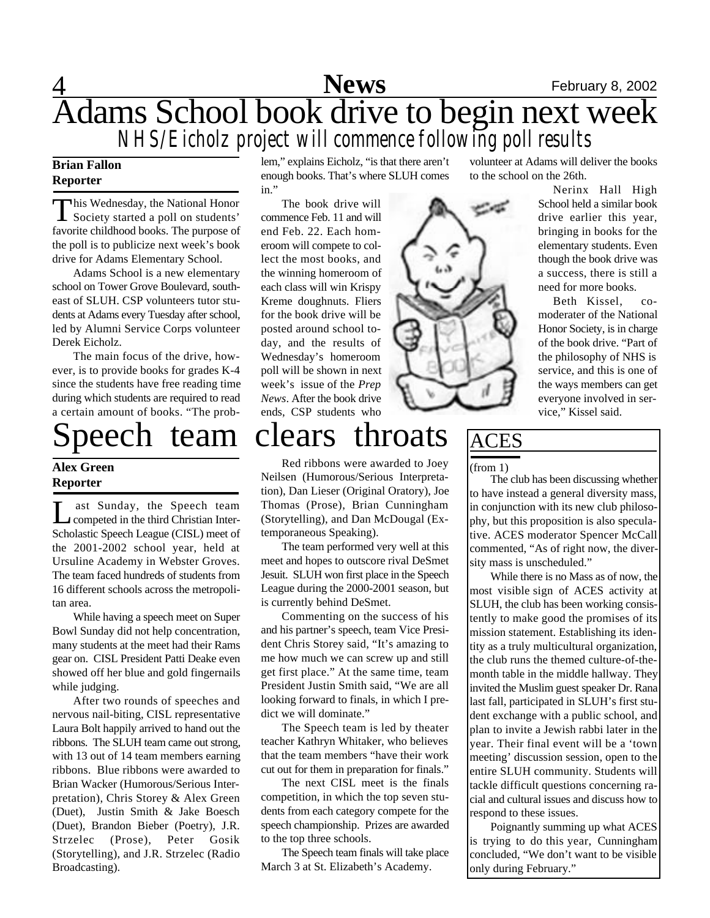## 4 **Sports** February 8, 2002 Adams School book drive to begin next week *NHS/Eicholz project will commence following poll results* **News**

### **Brian Fallon Reporter**

This Wednesday, the National Honor<br>Society started a poll on students' his Wednesday, the National Honor favorite childhood books. The purpose of the poll is to publicize next week's book drive for Adams Elementary School.

Adams School is a new elementary school on Tower Grove Boulevard, southeast of SLUH. CSP volunteers tutor students at Adams every Tuesday after school, led by Alumni Service Corps volunteer Derek Eicholz.

The main focus of the drive, however, is to provide books for grades K-4 since the students have free reading time during which students are required to read a certain amount of books. "The prob-

### **Alex Green Reporter**

 $\prod_{\alpha,\beta}$ ast Sunday, the Speech team competed in the third Christian Inter-Scholastic Speech League (CISL) meet of the 2001-2002 school year, held at Ursuline Academy in Webster Groves. The team faced hundreds of students from 16 different schools across the metropolitan area.

While having a speech meet on Super Bowl Sunday did not help concentration, many students at the meet had their Rams gear on. CISL President Patti Deake even showed off her blue and gold fingernails while judging.

After two rounds of speeches and nervous nail-biting, CISL representative Laura Bolt happily arrived to hand out the ribbons. The SLUH team came out strong, with 13 out of 14 team members earning ribbons. Blue ribbons were awarded to Brian Wacker (Humorous/Serious Interpretation), Chris Storey & Alex Green (Duet), Justin Smith & Jake Boesch (Duet), Brandon Bieber (Poetry), J.R. Strzelec (Prose), Peter Gosik (Storytelling), and J.R. Strzelec (Radio Broadcasting).

lem," explains Eicholz, "is that there aren't enough books. That's where SLUH comes in."

The book drive will commence Feb. 11 and will end Feb. 22. Each homeroom will compete to collect the most books, and the winning homeroom of each class will win Krispy Kreme doughnuts. Fliers for the book drive will be posted around school today, and the results of Wednesday's homeroom poll will be shown in next week's issue of the *Prep News*. After the book drive ends, CSP students who

# Speech team clears throats

Red ribbons were awarded to Joey Neilsen (Humorous/Serious Interpretation), Dan Lieser (Original Oratory), Joe Thomas (Prose), Brian Cunningham (Storytelling), and Dan McDougal (Extemporaneous Speaking).

The team performed very well at this meet and hopes to outscore rival DeSmet Jesuit. SLUH won first place in the Speech League during the 2000-2001 season, but is currently behind DeSmet.

Commenting on the success of his and his partner's speech, team Vice President Chris Storey said, "It's amazing to me how much we can screw up and still get first place." At the same time, team President Justin Smith said, "We are all looking forward to finals, in which I predict we will dominate."

The Speech team is led by theater teacher Kathryn Whitaker, who believes that the team members "have their work cut out for them in preparation for finals."

The next CISL meet is the finals competition, in which the top seven students from each category compete for the speech championship. Prizes are awarded to the top three schools.

The Speech team finals will take place March 3 at St. Elizabeth's Academy.

volunteer at Adams will deliver the books to the school on the 26th.

> Nerinx Hall High School held a similar book drive earlier this year, bringing in books for the elementary students. Even though the book drive was a success, there is still a need for more books.

> Beth Kissel, comoderater of the National Honor Society, is in charge of the book drive. "Part of the philosophy of NHS is service, and this is one of the ways members can get everyone involved in service," Kissel said.



(from 1)

The club has been discussing whether to have instead a general diversity mass, in conjunction with its new club philosophy, but this proposition is also speculative. ACES moderator Spencer McCall commented, "As of right now, the diversity mass is unscheduled."

While there is no Mass as of now, the most visible sign of ACES activity at SLUH, the club has been working consistently to make good the promises of its mission statement. Establishing its identity as a truly multicultural organization, the club runs the themed culture-of-themonth table in the middle hallway. They invited the Muslim guest speaker Dr. Rana last fall, participated in SLUH's first student exchange with a public school, and plan to invite a Jewish rabbi later in the year. Their final event will be a 'town meeting' discussion session, open to the entire SLUH community. Students will tackle difficult questions concerning racial and cultural issues and discuss how to respond to these issues.

Poignantly summing up what ACES is trying to do this year, Cunningham concluded, "We don't want to be visible only during February."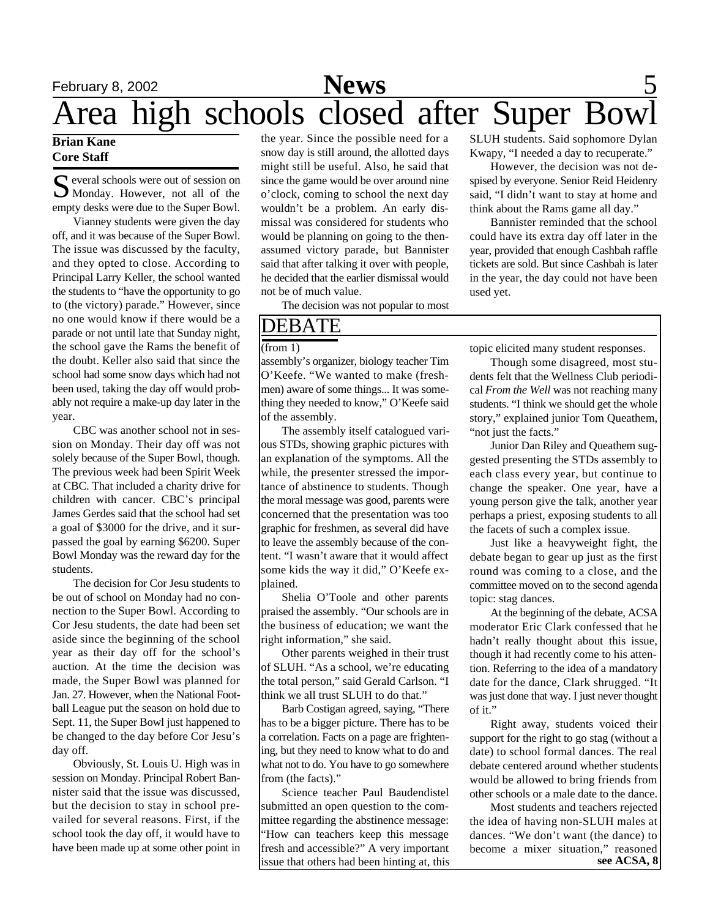## February 8, 2002 **Sports** 5 Area high schools closed after Super Bowl **News**

### **Brian Kane Core Staff**

S everal schools were out of session on<br>
S Monday. However, not all of the Monday. However, not all of the empty desks were due to the Super Bowl.

Vianney students were given the day off, and it was because of the Super Bowl. The issue was discussed by the faculty, and they opted to close. According to Principal Larry Keller, the school wanted the students to "have the opportunity to go to (the victory) parade." However, since no one would know if there would be a parade or not until late that Sunday night, the school gave the Rams the benefit of the doubt. Keller also said that since the school had some snow days which had not been used, taking the day off would probably not require a make-up day later in the year.

CBC was another school not in session on Monday. Their day off was not solely because of the Super Bowl, though. The previous week had been Spirit Week at CBC. That included a charity drive for children with cancer. CBC's principal James Gerdes said that the school had set a goal of \$3000 for the drive, and it surpassed the goal by earning \$6200. Super Bowl Monday was the reward day for the students.

The decision for Cor Jesu students to be out of school on Monday had no connection to the Super Bowl. According to Cor Jesu students, the date had been set aside since the beginning of the school year as their day off for the school's auction. At the time the decision was made, the Super Bowl was planned for Jan. 27. However, when the National Football League put the season on hold due to Sept. 11, the Super Bowl just happened to be changed to the day before Cor Jesu's day off.

Obviously, St. Louis U. High was in session on Monday. Principal Robert Bannister said that the issue was discussed, but the decision to stay in school prevailed for several reasons. First, if the school took the day off, it would have to have been made up at some other point in

the year. Since the possible need for a snow day is still around, the allotted days might still be useful. Also, he said that since the game would be over around nine o'clock, coming to school the next day wouldn't be a problem. An early dismissal was considered for students who would be planning on going to the thenassumed victory parade, but Bannister said that after talking it over with people, he decided that the earlier dismissal would not be of much value.

The decision was not popular to most

## DEBATE

assembly's organizer, biology teacher Tim O'Keefe. "We wanted to make (freshmen) aware of some things... It was something they needed to know," O'Keefe said of the assembly.

The assembly itself catalogued various STDs, showing graphic pictures with an explanation of the symptoms. All the while, the presenter stressed the importance of abstinence to students. Though the moral message was good, parents were concerned that the presentation was too graphic for freshmen, as several did have to leave the assembly because of the content. "I wasn't aware that it would affect some kids the way it did," O'Keefe explained.

Shelia O'Toole and other parents praised the assembly. "Our schools are in the business of education; we want the right information," she said.

Other parents weighed in their trust of SLUH. "As a school, we're educating the total person," said Gerald Carlson. "I think we all trust SLUH to do that."

Barb Costigan agreed, saying, "There has to be a bigger picture. There has to be a correlation. Facts on a page are frightening, but they need to know what to do and what not to do. You have to go somewhere from (the facts)."

Science teacher Paul Baudendistel submitted an open question to the committee regarding the abstinence message: "How can teachers keep this message fresh and accessible?" A very important issue that others had been hinting at, this SLUH students. Said sophomore Dylan Kwapy, "I needed a day to recuperate."

However, the decision was not despised by everyone. Senior Reid Heidenry said, "I didn't want to stay at home and think about the Rams game all day."

Bannister reminded that the school could have its extra day off later in the year, provided that enough Cashbah raffle tickets are sold. But since Cashbah is later in the year, the day could not have been used yet.

(from 1) topic elicited many student responses.

Though some disagreed, most students felt that the Wellness Club periodical *From the Well* was not reaching many students. "I think we should get the whole story," explained junior Tom Queathem, "not just the facts."

Junior Dan Riley and Queathem suggested presenting the STDs assembly to each class every year, but continue to change the speaker. One year, have a young person give the talk, another year perhaps a priest, exposing students to all the facets of such a complex issue.

Just like a heavyweight fight, the debate began to gear up just as the first round was coming to a close, and the committee moved on to the second agenda topic: stag dances.

At the beginning of the debate, ACSA moderator Eric Clark confessed that he hadn't really thought about this issue, though it had recently come to his attention. Referring to the idea of a mandatory date for the dance, Clark shrugged. "It was just done that way. I just never thought of it."

Right away, students voiced their support for the right to go stag (without a date) to school formal dances. The real debate centered around whether students would be allowed to bring friends from other schools or a male date to the dance.

Most students and teachers rejected the idea of having non-SLUH males at dances. "We don't want (the dance) to become a mixer situation," reasoned **see ACSA, 8**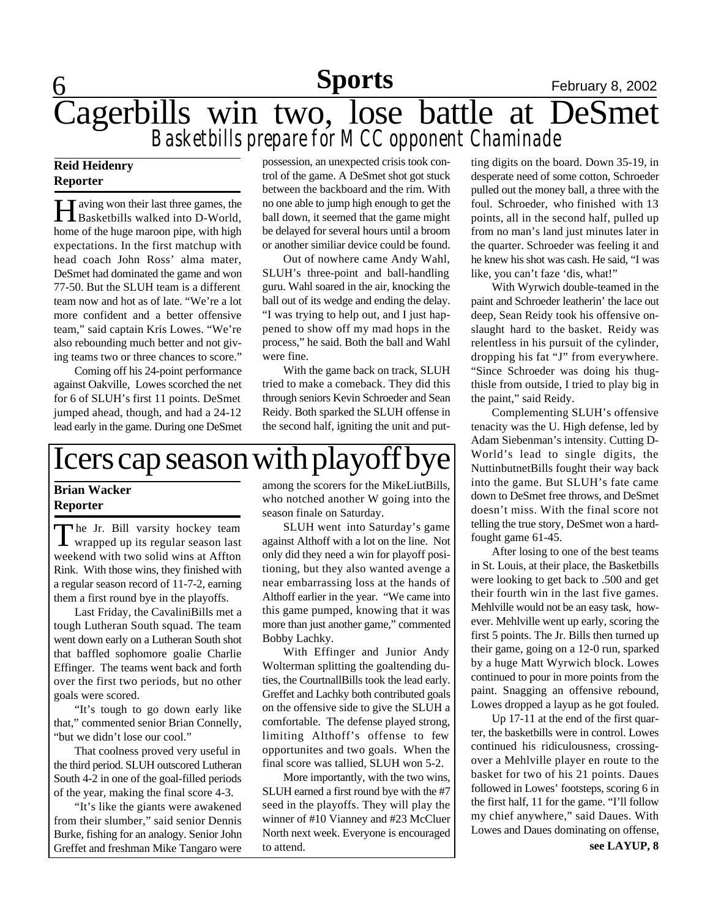# 6 **Sports** February 8, 2002 Cagerbills win two, lose battle at DeSmet *Basketbills prepare for MCC opponent Chaminade*

### **Reid Heidenry Reporter**

**H** aving won their last three games, the Basketbills walked into D-World, **T** aving won their last three games, the home of the huge maroon pipe, with high expectations. In the first matchup with head coach John Ross' alma mater, DeSmet had dominated the game and won 77-50. But the SLUH team is a different team now and hot as of late. "We're a lot more confident and a better offensive team," said captain Kris Lowes. "We're also rebounding much better and not giving teams two or three chances to score."

Coming off his 24-point performance against Oakville, Lowes scorched the net for 6 of SLUH's first 11 points. DeSmet jumped ahead, though, and had a 24-12 lead early in the game. During one DeSmet

possession, an unexpected crisis took control of the game. A DeSmet shot got stuck between the backboard and the rim. With no one able to jump high enough to get the ball down, it seemed that the game might be delayed for several hours until a broom or another similiar device could be found.

Out of nowhere came Andy Wahl, SLUH's three-point and ball-handling guru. Wahl soared in the air, knocking the ball out of its wedge and ending the delay. "I was trying to help out, and I just happened to show off my mad hops in the process," he said. Both the ball and Wahl were fine.

With the game back on track, SLUH tried to make a comeback. They did this through seniors Kevin Schroeder and Sean Reidy. Both sparked the SLUH offense in the second half, igniting the unit and put-

# Icers cap season with playoff bye

### **Brian Wacker Reporter**

The Jr. Bill varsity hockey team<br>wrapped up its regular season last he Jr. Bill varsity hockey team weekend with two solid wins at Affton Rink. With those wins, they finished with a regular season record of 11-7-2, earning them a first round bye in the playoffs.

Last Friday, the CavaliniBills met a tough Lutheran South squad. The team went down early on a Lutheran South shot that baffled sophomore goalie Charlie Effinger. The teams went back and forth over the first two periods, but no other goals were scored.

"It's tough to go down early like that," commented senior Brian Connelly, "but we didn't lose our cool."

That coolness proved very useful in the third period. SLUH outscored Lutheran South 4-2 in one of the goal-filled periods of the year, making the final score 4-3.

"It's like the giants were awakened from their slumber," said senior Dennis Burke, fishing for an analogy. Senior John Greffet and freshman Mike Tangaro were

among the scorers for the MikeLiutBills, who notched another W going into the season finale on Saturday.

SLUH went into Saturday's game against Althoff with a lot on the line. Not only did they need a win for playoff positioning, but they also wanted avenge a near embarrassing loss at the hands of Althoff earlier in the year. "We came into this game pumped, knowing that it was more than just another game," commented Bobby Lachky.

With Effinger and Junior Andy Wolterman splitting the goaltending duties, the CourtnallBills took the lead early. Greffet and Lachky both contributed goals on the offensive side to give the SLUH a comfortable. The defense played strong, limiting Althoff's offense to few opportunites and two goals. When the final score was tallied, SLUH won 5-2.

More importantly, with the two wins, SLUH earned a first round bye with the #7 seed in the playoffs. They will play the winner of #10 Vianney and #23 McCluer North next week. Everyone is encouraged to attend.

ting digits on the board. Down 35-19, in desperate need of some cotton, Schroeder pulled out the money ball, a three with the foul. Schroeder, who finished with 13 points, all in the second half, pulled up from no man's land just minutes later in the quarter. Schroeder was feeling it and he knew his shot was cash. He said, "I was like, you can't faze 'dis, what!"

With Wyrwich double-teamed in the paint and Schroeder leatherin' the lace out deep, Sean Reidy took his offensive onslaught hard to the basket. Reidy was relentless in his pursuit of the cylinder, dropping his fat "J" from everywhere. "Since Schroeder was doing his thugthisle from outside, I tried to play big in the paint," said Reidy.

Complementing SLUH's offensive tenacity was the U. High defense, led by Adam Siebenman's intensity. Cutting D-World's lead to single digits, the NuttinbutnetBills fought their way back into the game. But SLUH's fate came down to DeSmet free throws, and DeSmet doesn't miss. With the final score not telling the true story, DeSmet won a hardfought game 61-45.

After losing to one of the best teams in St. Louis, at their place, the Basketbills were looking to get back to .500 and get their fourth win in the last five games. Mehlville would not be an easy task, however. Mehlville went up early, scoring the first 5 points. The Jr. Bills then turned up their game, going on a 12-0 run, sparked by a huge Matt Wyrwich block. Lowes continued to pour in more points from the paint. Snagging an offensive rebound, Lowes dropped a layup as he got fouled.

Up 17-11 at the end of the first quarter, the basketbills were in control. Lowes continued his ridiculousness, crossingover a Mehlville player en route to the basket for two of his 21 points. Daues followed in Lowes' footsteps, scoring 6 in the first half, 11 for the game. "I'll follow my chief anywhere," said Daues. With Lowes and Daues dominating on offense,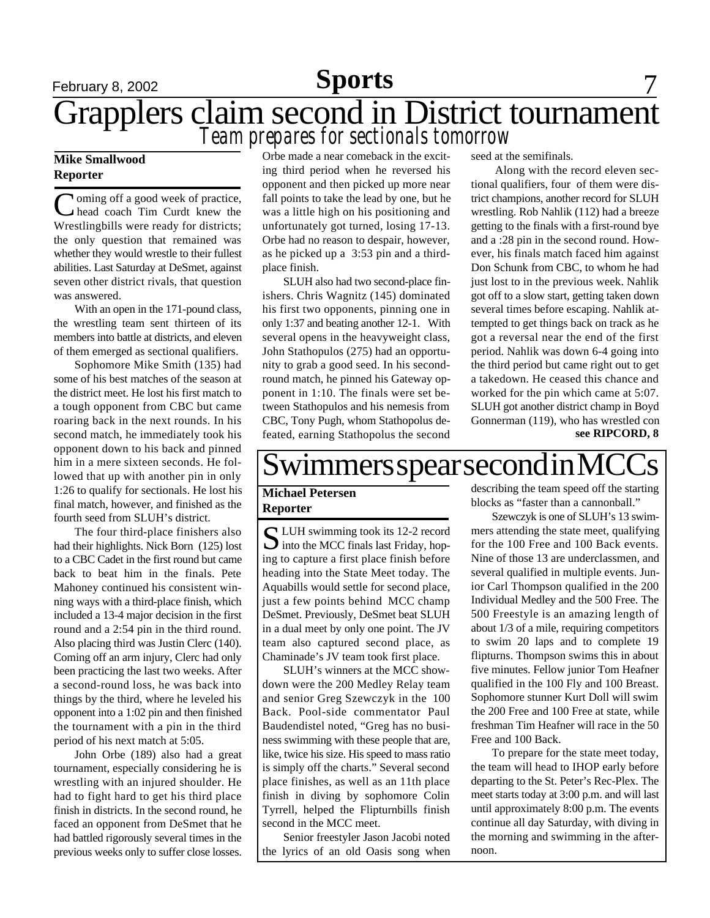# February 8, 2002 **Sports** 7 Grapplers claim second in District tournament *Team prepares for sectionals tomorrow*

### **Mike Smallwood Reporter**

Coming off a good week of practice, **I** oming off a good week of practice, Wrestlingbills were ready for districts; the only question that remained was whether they would wrestle to their fullest abilities. Last Saturday at DeSmet, against seven other district rivals, that question was answered.

With an open in the 171-pound class, the wrestling team sent thirteen of its members into battle at districts, and eleven of them emerged as sectional qualifiers.

Sophomore Mike Smith (135) had some of his best matches of the season at the district meet. He lost his first match to a tough opponent from CBC but came roaring back in the next rounds. In his second match, he immediately took his opponent down to his back and pinned him in a mere sixteen seconds. He followed that up with another pin in only 1:26 to qualify for sectionals. He lost his final match, however, and finished as the fourth seed from SLUH's district.

The four third-place finishers also had their highlights. Nick Born (125) lost to a CBC Cadet in the first round but came back to beat him in the finals. Pete Mahoney continued his consistent winning ways with a third-place finish, which included a 13-4 major decision in the first round and a 2:54 pin in the third round. Also placing third was Justin Clerc (140). Coming off an arm injury, Clerc had only been practicing the last two weeks. After a second-round loss, he was back into things by the third, where he leveled his opponent into a 1:02 pin and then finished the tournament with a pin in the third period of his next match at 5:05.

John Orbe (189) also had a great tournament, especially considering he is wrestling with an injured shoulder. He had to fight hard to get his third place finish in districts. In the second round, he faced an opponent from DeSmet that he had battled rigorously several times in the previous weeks only to suffer close losses.

Orbe made a near comeback in the exciting third period when he reversed his opponent and then picked up more near fall points to take the lead by one, but he was a little high on his positioning and unfortunately got turned, losing 17-13. Orbe had no reason to despair, however, as he picked up a 3:53 pin and a thirdplace finish.

SLUH also had two second-place finishers. Chris Wagnitz (145) dominated his first two opponents, pinning one in only 1:37 and beating another 12-1. With several opens in the heavyweight class, John Stathopulos (275) had an opportunity to grab a good seed. In his secondround match, he pinned his Gateway opponent in 1:10. The finals were set between Stathopulos and his nemesis from CBC, Tony Pugh, whom Stathopolus defeated, earning Stathopolus the second seed at the semifinals.

 Along with the record eleven sectional qualifiers, four of them were district champions, another record for SLUH wrestling. Rob Nahlik (112) had a breeze getting to the finals with a first-round bye and a :28 pin in the second round. However, his finals match faced him against Don Schunk from CBC, to whom he had just lost to in the previous week. Nahlik got off to a slow start, getting taken down several times before escaping. Nahlik attempted to get things back on track as he got a reversal near the end of the first period. Nahlik was down 6-4 going into the third period but came right out to get a takedown. He ceased this chance and worked for the pin which came at 5:07. SLUH got another district champ in Boyd Gonnerman (119), who has wrestled con **see RIPCORD, 8**

# Swimmers spear second in MC

### **Michael Petersen Reporter**

S LUH swimming took its 12-2 record<br>into the MCC finals last Friday, hop- $\bigcup$  into the MCC finals last Friday, hoping to capture a first place finish before heading into the State Meet today. The Aquabills would settle for second place, just a few points behind MCC champ DeSmet. Previously, DeSmet beat SLUH in a dual meet by only one point. The JV team also captured second place, as Chaminade's JV team took first place.

SLUH's winners at the MCC showdown were the 200 Medley Relay team and senior Greg Szewczyk in the 100 Back. Pool-side commentator Paul Baudendistel noted, "Greg has no business swimming with these people that are, like, twice his size. His speed to mass ratio is simply off the charts." Several second place finishes, as well as an 11th place finish in diving by sophomore Colin Tyrrell, helped the Flipturnbills finish second in the MCC meet.

Senior freestyler Jason Jacobi noted the lyrics of an old Oasis song when describing the team speed off the starting blocks as "faster than a cannonball."

Szewczyk is one of SLUH's 13 swimmers attending the state meet, qualifying for the 100 Free and 100 Back events. Nine of those 13 are underclassmen, and several qualified in multiple events. Junior Carl Thompson qualified in the 200 Individual Medley and the 500 Free. The 500 Freestyle is an amazing length of about 1/3 of a mile, requiring competitors to swim 20 laps and to complete 19 flipturns. Thompson swims this in about five minutes. Fellow junior Tom Heafner qualified in the 100 Fly and 100 Breast. Sophomore stunner Kurt Doll will swim the 200 Free and 100 Free at state, while freshman Tim Heafner will race in the 50 Free and 100 Back.

To prepare for the state meet today, the team will head to IHOP early before departing to the St. Peter's Rec-Plex. The meet starts today at 3:00 p.m. and will last until approximately 8:00 p.m. The events continue all day Saturday, with diving in the morning and swimming in the afternoon.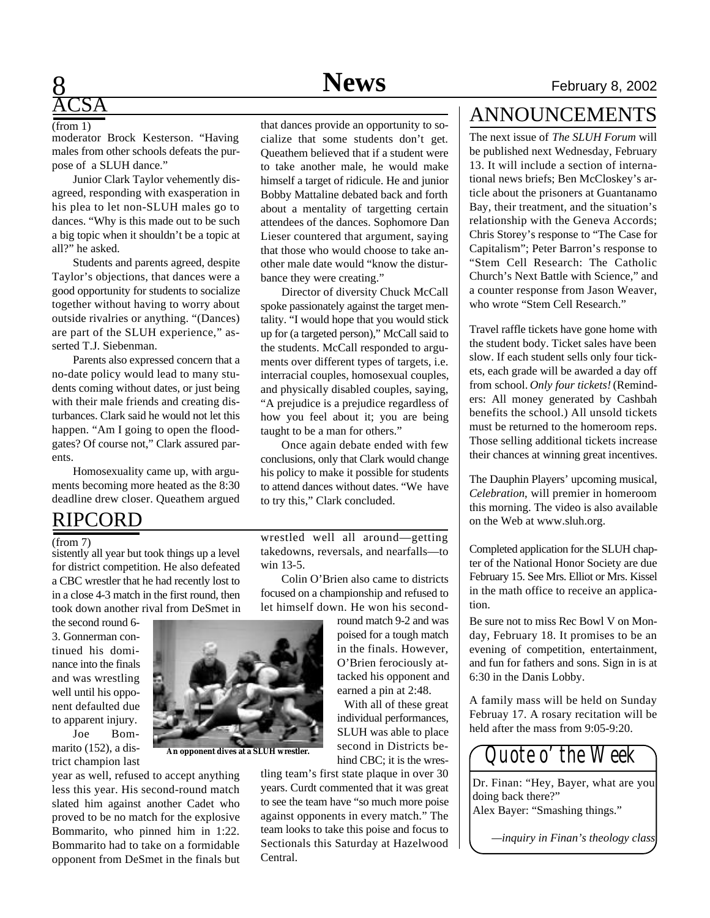### **8** February 8, 2002 **News**

# <u>ĀCSA</u>

### (from 1)

moderator Brock Kesterson. "Having males from other schools defeats the purpose of a SLUH dance."

Junior Clark Taylor vehemently disagreed, responding with exasperation in his plea to let non-SLUH males go to dances. "Why is this made out to be such a big topic when it shouldn't be a topic at all?" he asked.

Students and parents agreed, despite Taylor's objections, that dances were a good opportunity for students to socialize together without having to worry about outside rivalries or anything. "(Dances) are part of the SLUH experience," asserted T.J. Siebenman.

Parents also expressed concern that a no-date policy would lead to many students coming without dates, or just being with their male friends and creating disturbances. Clark said he would not let this happen. "Am I going to open the floodgates? Of course not," Clark assured parents.

Homosexuality came up, with arguments becoming more heated as the 8:30 deadline drew closer. Queathem argued

## RIPCORD

### (from 7)

sistently all year but took things up a level for district competition. He also defeated a CBC wrestler that he had recently lost to in a close 4-3 match in the first round, then took down another rival from DeSmet in

the second round 6- 3. Gonnerman continued his dominance into the finals and was wrestling well until his opponent defaulted due to apparent injury.

Joe Bommarito (152), a district champion last

year as well, refused to accept anything less this year. His second-round match slated him against another Cadet who proved to be no match for the explosive Bommarito, who pinned him in 1:22. Bommarito had to take on a formidable opponent from DeSmet in the finals but



**An opponent dives at a SLUH wrestler.**

that dances provide an opportunity to socialize that some students don't get. Queathem believed that if a student were to take another male, he would make himself a target of ridicule. He and junior Bobby Mattaline debated back and forth about a mentality of targetting certain attendees of the dances. Sophomore Dan Lieser countered that argument, saying that those who would choose to take another male date would "know the disturbance they were creating."

Director of diversity Chuck McCall spoke passionately against the target mentality. "I would hope that you would stick up for (a targeted person)," McCall said to the students. McCall responded to arguments over different types of targets, i.e. interracial couples, homosexual couples, and physically disabled couples, saying, "A prejudice is a prejudice regardless of how you feel about it; you are being taught to be a man for others."

Once again debate ended with few conclusions, only that Clark would change his policy to make it possible for students to attend dances without dates. "We have to try this," Clark concluded.

wrestled well all around—getting takedowns, reversals, and nearfalls—to win 13-5.

Colin O'Brien also came to districts focused on a championship and refused to let himself down. He won his second-

> round match 9-2 and was poised for a tough match in the finals. However, O'Brien ferociously attacked his opponent and earned a pin at 2:48.

With all of these great individual performances, SLUH was able to place second in Districts behind CBC; it is the wres-

tling team's first state plaque in over 30 years. Curdt commented that it was great to see the team have "so much more poise against opponents in every match." The team looks to take this poise and focus to Sectionals this Saturday at Hazelwood Central.

# ANNOUNCEMENTS

The next issue of *The SLUH Forum* will be published next Wednesday, February 13. It will include a section of international news briefs; Ben McCloskey's article about the prisoners at Guantanamo Bay, their treatment, and the situation's relationship with the Geneva Accords; Chris Storey's response to "The Case for Capitalism"; Peter Barron's response to "Stem Cell Research: The Catholic Church's Next Battle with Science," and a counter response from Jason Weaver, who wrote "Stem Cell Research."

Travel raffle tickets have gone home with the student body. Ticket sales have been slow. If each student sells only four tickets, each grade will be awarded a day off from school. *Only four tickets!* (Reminders: All money generated by Cashbah benefits the school.) All unsold tickets must be returned to the homeroom reps. Those selling additional tickets increase their chances at winning great incentives.

The Dauphin Players' upcoming musical, *Celebration*, will premier in homeroom this morning. The video is also available on the Web at www.sluh.org.

Completed application for the SLUH chapter of the National Honor Society are due February 15. See Mrs. Elliot or Mrs. Kissel in the math office to receive an application.

Be sure not to miss Rec Bowl V on Monday, February 18. It promises to be an evening of competition, entertainment, and fun for fathers and sons. Sign in is at 6:30 in the Danis Lobby.

A family mass will be held on Sunday Februay 17. A rosary recitation will be held after the mass from 9:05-9:20.



Dr. Finan: "Hey, Bayer, what are you doing back there?" Alex Bayer: "Smashing things."

*—inquiry in Finan's theology class*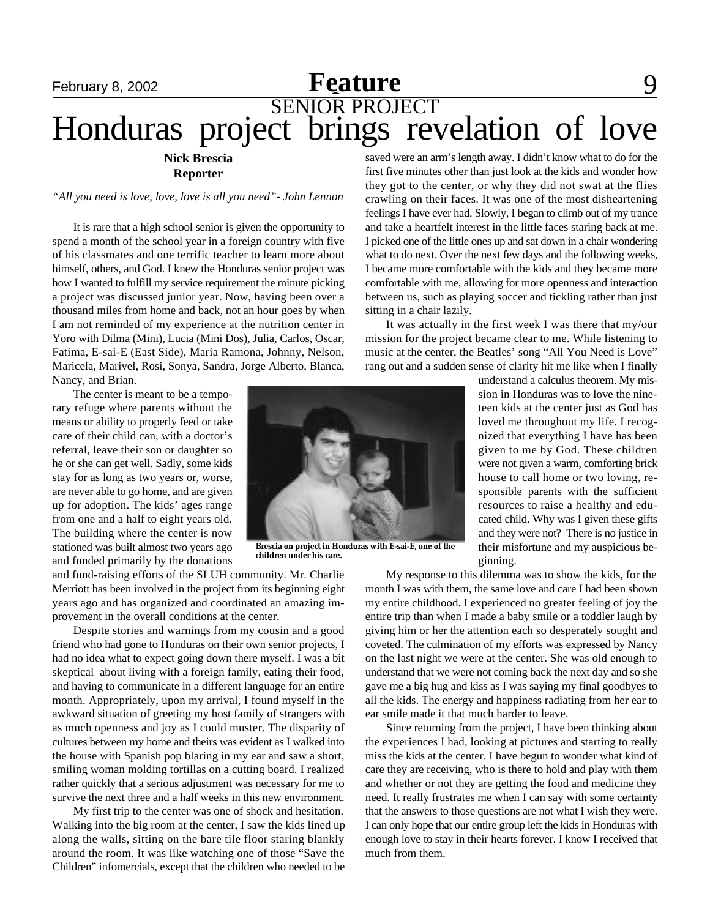# **February 8, 2002 Feature** 9 SENIOR PROJECT Honduras project brings revelation of love

### **Nick Brescia Reporter**

### *"All you need is love, love, love is all you need"- John Lennon*

It is rare that a high school senior is given the opportunity to spend a month of the school year in a foreign country with five of his classmates and one terrific teacher to learn more about himself, others, and God. I knew the Honduras senior project was how I wanted to fulfill my service requirement the minute picking a project was discussed junior year. Now, having been over a thousand miles from home and back, not an hour goes by when I am not reminded of my experience at the nutrition center in Yoro with Dilma (Mini), Lucia (Mini Dos), Julia, Carlos, Oscar, Fatima, E-sai-E (East Side), Maria Ramona, Johnny, Nelson, Maricela, Marivel, Rosi, Sonya, Sandra, Jorge Alberto, Blanca, Nancy, and Brian.

The center is meant to be a temporary refuge where parents without the means or ability to properly feed or take care of their child can, with a doctor's referral, leave their son or daughter so he or she can get well. Sadly, some kids stay for as long as two years or, worse, are never able to go home, and are given up for adoption. The kids' ages range from one and a half to eight years old. The building where the center is now stationed was built almost two years ago and funded primarily by the donations

**Brescia on project in Honduras with E-sai-E, one of the children under his care.**

and fund-raising efforts of the SLUH community. Mr. Charlie Merriott has been involved in the project from its beginning eight years ago and has organized and coordinated an amazing improvement in the overall conditions at the center.

Despite stories and warnings from my cousin and a good friend who had gone to Honduras on their own senior projects, I had no idea what to expect going down there myself. I was a bit skeptical about living with a foreign family, eating their food, and having to communicate in a different language for an entire month. Appropriately, upon my arrival, I found myself in the awkward situation of greeting my host family of strangers with as much openness and joy as I could muster. The disparity of cultures between my home and theirs was evident as I walked into the house with Spanish pop blaring in my ear and saw a short, smiling woman molding tortillas on a cutting board. I realized rather quickly that a serious adjustment was necessary for me to survive the next three and a half weeks in this new environment.

My first trip to the center was one of shock and hesitation. Walking into the big room at the center, I saw the kids lined up along the walls, sitting on the bare tile floor staring blankly around the room. It was like watching one of those "Save the Children" infomercials, except that the children who needed to be saved were an arm's length away. I didn't know what to do for the first five minutes other than just look at the kids and wonder how they got to the center, or why they did not swat at the flies crawling on their faces. It was one of the most disheartening feelings I have ever had. Slowly, I began to climb out of my trance and take a heartfelt interest in the little faces staring back at me. I picked one of the little ones up and sat down in a chair wondering what to do next. Over the next few days and the following weeks, I became more comfortable with the kids and they became more comfortable with me, allowing for more openness and interaction between us, such as playing soccer and tickling rather than just sitting in a chair lazily.

It was actually in the first week I was there that my/our mission for the project became clear to me. While listening to music at the center, the Beatles' song "All You Need is Love" rang out and a sudden sense of clarity hit me like when I finally

> understand a calculus theorem. My mission in Honduras was to love the nineteen kids at the center just as God has loved me throughout my life. I recognized that everything I have has been given to me by God. These children were not given a warm, comforting brick house to call home or two loving, responsible parents with the sufficient resources to raise a healthy and educated child. Why was I given these gifts and they were not? There is no justice in their misfortune and my auspicious beginning.

My response to this dilemma was to show the kids, for the month I was with them, the same love and care I had been shown my entire childhood. I experienced no greater feeling of joy the entire trip than when I made a baby smile or a toddler laugh by giving him or her the attention each so desperately sought and coveted. The culmination of my efforts was expressed by Nancy on the last night we were at the center. She was old enough to understand that we were not coming back the next day and so she gave me a big hug and kiss as I was saying my final goodbyes to all the kids. The energy and happiness radiating from her ear to ear smile made it that much harder to leave.

Since returning from the project, I have been thinking about the experiences I had, looking at pictures and starting to really miss the kids at the center. I have begun to wonder what kind of care they are receiving, who is there to hold and play with them and whether or not they are getting the food and medicine they need. It really frustrates me when I can say with some certainty that the answers to those questions are not what I wish they were. I can only hope that our entire group left the kids in Honduras with enough love to stay in their hearts forever. I know I received that much from them.